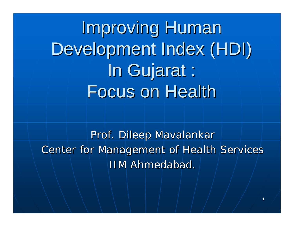Improving Human Development Index (HDI) In Gujarat : Focus on Health

Prof. Dileep Mavalankar Center for Management of Health Services IIM Ahmedabad.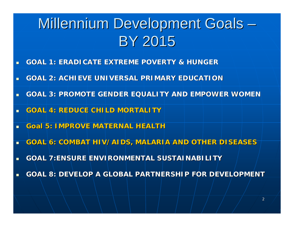# Millennium Development Goals · **BY 2015**

- ▁ **GOAL 1: ERADICATE EX GOAL 1: ERADICATE EXTREME POVERTY & HUNGER TREME POVERTY & HUNGER**
- Ц **GOAL 2: ACHIEVE UNIVERSAL PRIMARY EDUCATION**
- ш **GOAL 3: PROMOTE GENDER EQUALITY AND EMPOWER WOMEN**
- ▁ **GOAL 4: REDUCE CHILD MORTALITY GOAL 4: REDUCE CHILD MORTALITY**
- ▁ **Goal 5: IMPROVE MATERNAL HEALTH**
- ш **GOAL 6: COMBAT HIV/AIDS, GOAL 6: COMBAT HIV/AIDS, MALARIA AND OTHER DISEASES MALARIA AND OTHER DISEASES**
- **GOAL 7:ENSURE ENVIRO GOAL 7:ENSURE ENVIRONMENTAL SUSTAINABILITY NMENTAL SUSTAINABILITY**
- Ш **GOAL 8: DEVELOP A GLOBAL PARTNERSHIP FOR DEVELOPMENT GOAL 8: DEVELOP A GLOBAL PARTNERSHIP FOR DEVELOPMENT**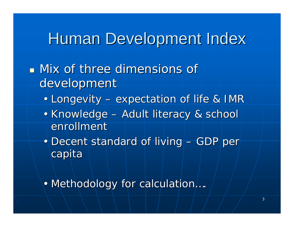### Human Development Index

### $\blacksquare$  Mix of three dimensions of development

- Longevity –– expectation of life & IMR
- Knowledge –– Adult literacy & school enrollment
- Decent standard of living – $-$  GDP per $\vdash$ capita
- Methodology for calculation....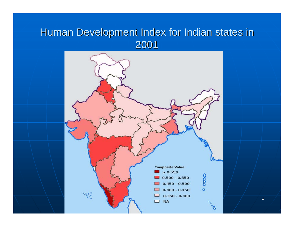### Human Development Index for Indian states in

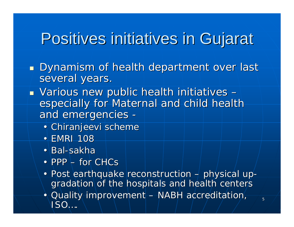## Positives initiatives in Gujarat

- $\mathbb{R}^2$  $\textcolor{red}{\blacksquare}$  Dynamism of health department over last several years.
- $\blacksquare$  Various new public health initiatives i – especially for Maternal and child health and emergencies -
	- Chiranjeevi scheme
	- EMRI 108
	- Bal-sakha
	- PPP  $-$  for CHCs
	- Post earthquake reconstruction – $+$  physical up gradation of the hospitals and health centers
	- Quality improvement  $-$  NABH accreditation,  $\overline{\phantom{a}}$ ISO….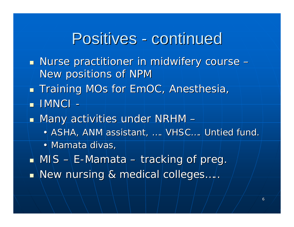### Positives - continued

- $\mathbb{R}^2$  $\blacksquare$  Nurse practitioner in midwifery course – New positions of NPM
- $\mathbb{R}^2$ **Training MOs for EmOC, Anesthesia,**
- $\blacksquare$   $\blacksquare$   $\blacksquare$   $\blacksquare$
- $\mathbb{R}^2$  $\blacksquare$  Many activities under NRHM –
	- ASHA, ANM assistant, …. VHSC... Untied fund.
	- Mamata divas,
- $\mathbb{R}^2$  $\blacksquare$  MIS – E-Mamata – tracking of preg.
- $\mathbb{R}^2$  $\blacksquare$  New nursing & medical colleges…..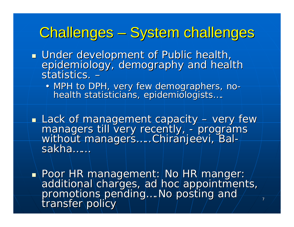### Challenges – System challenges

- Under development of Public health, epidemiology, demography and health<br>statistics. -
	- MPH to DPH, very few demographers, no-<br>health statisticians, epidemiologists...

**Lack of management capacity - very few** managers till very recently, - programs<br>without managers.....Chiranjeevi, Bal-<br>sakha......

• Poor HR management: No HR manger: additional charges, ad hoc appointments,<br>promotions pending....No posting and<br>transfer policy

7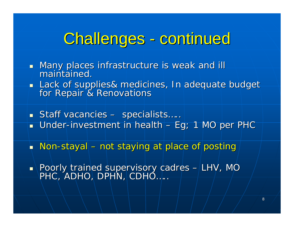# Challenges - continued

- $\mathbb{R}^2$ Many places infrastructure is weak and ill maintained.  $\blacksquare$
- ò Lack of supplies& medicines, In adequate budget for Repair & Renovations
- $\blacksquare$  Staff vacancies specialists…..
- $\blacksquare$  Under-investment in health Eg; 1 MO per PHC
- $\blacksquare$  Non-stayal not staying at place of posting
- $\overline{\phantom{0}}$ Poorly trained supervisory cadres – LHV, MO ـ PHC, ADHO, DPHN, CDHO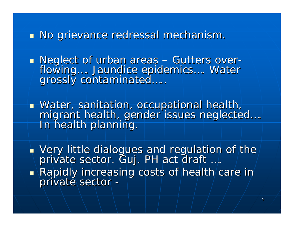#### $\mathbb{R}^2$  $\blacksquare$  No grievance redressal mechanism.

Neglect of urban areas - Gutters overflowing…. Jaundice epidemics…. Water<br>grossly contaminated….

Water, sanitation, occupational health, migrant health, gender issues neglected ...<br>In health planning.

 $\mathbb{R}^2$  $\blacktriangle$  Very little dialogues and regulation of the private sector. Guj. PH act draft ….  $\mathbb{R}^2$ Rapidly increasing costs of health care in Rapidly increasing costs of health care in private sector -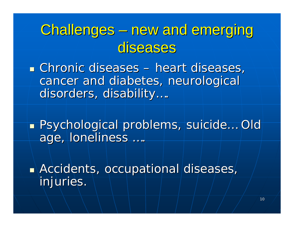## Challenges – new and emerging diseases

**Example Chronic diseases – heart diseases, heart diseases, heart diseases, heart diseases, heart diseases, heart diseases, heart diseases, heart diseases, heart diseases, heart diseases, heart diseases, heart diseases, he** cancer and diabetes, neurological disorders, disability....

■ Psychological problems, suicide… Old age, loneliness ....

 $\blacksquare$  Accidents, occupational diseases, injuries.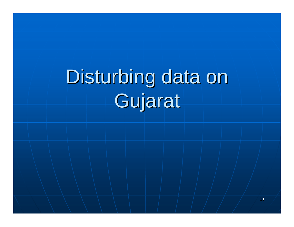# Disturbing data on Gujarat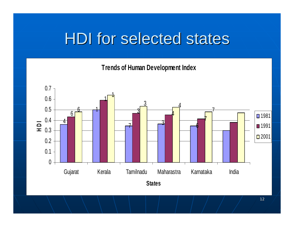# **HDI for selected states**

**Trends of Human Development Index**

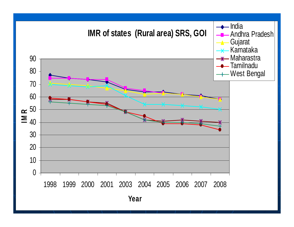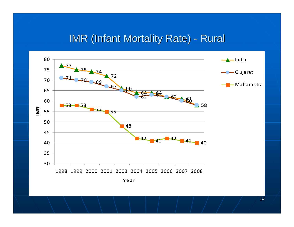#### IMR (Infant Mortality Rate) - Rural

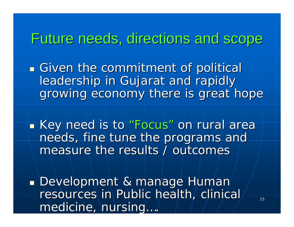### Future needs, directions and scope Future needs, directions and scope

**Given the commitment of political** leadership in Gujarat and rapidly growing economy there is great hope

**Example 23 To Example 2** Key need is to "Focus " on rural area needs, fine tune the programs and measure the results / outcomes

**Development & manage Human** resources in Public health, clinical medicine, nursing...,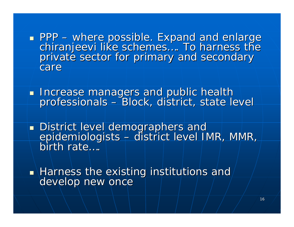PPP - where possible. Expand and enlarge chiranjeevi like schemes.... To harness the<br>private sector for primary and secondary care

**Therease managers and public health** professionals – Block, district, state level

**District level demographers and** epidemiologists – district level IMR, MMR, birth rate....

 $\mathbb{R}^2$  $\blacksquare$  Harness the existing institutions and develop new once develop new once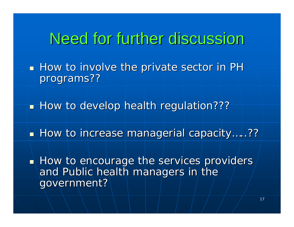### Need for further discussion

 $\blacksquare$  How to involve the private sector in PH programs??

 $\mathbb{R}^2$ How to develop health regulation???

 $\mathbb{R}^2$  $\blacksquare$  How to increase managerial capacity…..??

 $\mathbb{R}^2$  $\blacksquare$  How to encourage the services providers  $\overline{\phantom{a}}$ and Public health managers in the government?